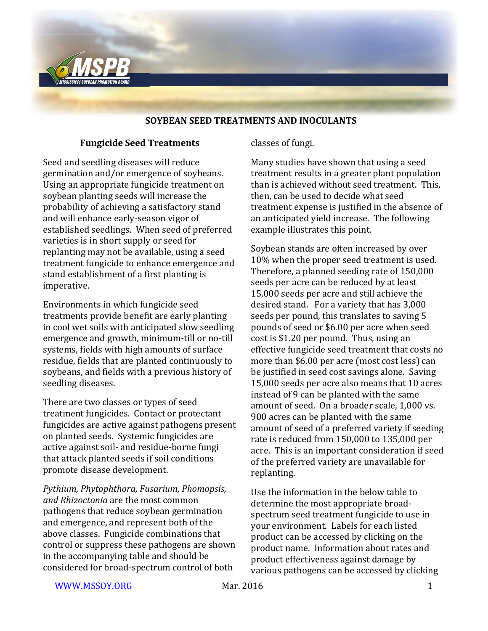

#### **SOYBEAN SEED TREATMENTS AND INOCULANTS**

#### **Fungicide Seed Treatments**

Seed and seedling diseases will reduce germination and/or emergence of soybeans. Using an appropriate fungicide treatment on soybean planting seeds will increase the probability of achieving a satisfactory stand and will enhance early-season vigor of established seedlings. When seed of preferred varieties is in short supply or seed for replanting may not be available, using a seed treatment fungicide to enhance emergence and stand establishment of a first planting is imperative.

Environments in which fungicide seed treatments provide benefit are early planting in cool wet soils with anticipated slow seedling emergence and growth, minimum-till or no-till systems, fields with high amounts of surface residue, fields that are planted continuously to soybeans, and fields with a previous history of seedling diseases.

There are two classes or types of seed treatment fungicides. Contact or protectant fungicides are active against pathogens present on planted seeds. Systemic fungicides are active against soil- and residue-borne fungi that attack planted seeds if soil conditions promote disease development.

*Pythium, Phytophthora, Fusarium, Phomopsis, and Rhizoctonia* are the most common pathogens that reduce soybean germination and emergence, and represent both of the above classes. Fungicide combinations that control or suppress these pathogens are shown in the accompanying table and should be considered for broad-spectrum control of both

classes of fungi.

Many studies have shown that using a seed treatment results in a greater plant population than is achieved without seed treatment. This, then, can be used to decide what seed treatment expense is justified in the absence of an anticipated yield increase. The following example illustrates this point.

Soybean stands are often increased by over 10% when the proper seed treatment is used. Therefore, a planned seeding rate of 150,000 seeds per acre can be reduced by at least 15,000 seeds per acre and still achieve the desired stand. For a variety that has 3,000 seeds per pound, this translates to saving 5 pounds of seed or \$6.00 per acre when seed cost is \$1.20 per pound. Thus, using an effective fungicide seed treatment that costs no more than \$6.00 per acre (most cost less) can be justified in seed cost savings alone. Saving 15,000 seeds per acre also means that 10 acres instead of 9 can be planted with the same amount of seed. On a broader scale, 1,000 vs. 900 acres can be planted with the same amount of seed of a preferred variety if seeding rate is reduced from 150,000 to 135,000 per acre. This is an important consideration if seed of the preferred variety are unavailable for replanting.

Use the information in the below table to determine the most appropriate broadspectrum seed treatment fungicide to use in your environment. Labels for each listed product can be accessed by clicking on the product name. Information about rates and product effectiveness against damage by various pathogens can be accessed by clicking

[WWW.MSSOY.ORG](http://www.mssoy.org/) Mar. 2016 Mar. 2016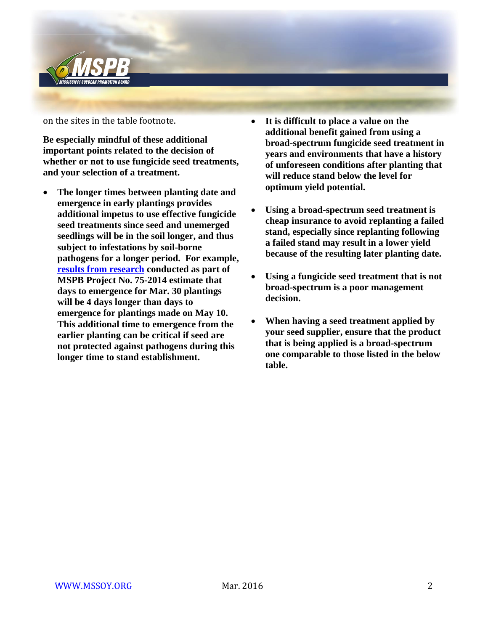

on the sites in the table footnote.

**Be especially mindful of these additional important points related to the decision of whether or not to use fungicide seed treatments, and your selection of a treatment.**

- **The longer times between planting date and emergence in early plantings provides additional impetus to use effective fungicide seed treatments since seed and unemerged seedlings will be in the soil longer, and thus subject to infestations by soil-borne pathogens for a longer period. For example, [results from research](http://mssoy.org/blog/temperature-and-soybean-emergence/) conducted as part of MSPB Project No. 75-2014 estimate that days to emergence for Mar. 30 plantings will be 4 days longer than days to emergence for plantings made on May 10. This additional time to emergence from the earlier planting can be critical if seed are not protected against pathogens during this longer time to stand establishment.**
- **It is difficult to place a value on the additional benefit gained from using a broad-spectrum fungicide seed treatment in years and environments that have a history of unforeseen conditions after planting that will reduce stand below the level for optimum yield potential.**
- **Using a broad-spectrum seed treatment is cheap insurance to avoid replanting a failed stand, especially since replanting following a failed stand may result in a lower yield because of the resulting later planting date.**
- **Using a fungicide seed treatment that is not broad-spectrum is a poor management decision.**
- **When having a seed treatment applied by your seed supplier, ensure that the product that is being applied is a broad-spectrum one comparable to those listed in the below table.**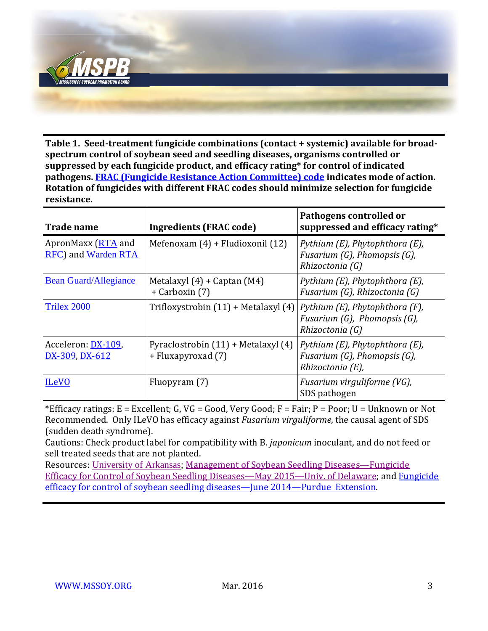

**Table 1. Seed-treatment fungicide combinations (contact + systemic) available for broadspectrum control of soybean seed and seedling diseases, organisms controlled or suppressed by each fungicide product, and efficacy rating\* for control of indicated pathogens. [FRAC \(Fungicide Resistance Action Committee\) code](http://www.frac.info/docs/default-source/publications/frac-code-list/frac-code-list-2016.pdf) indicates mode of action. Rotation of fungicides with different FRAC codes should minimize selection for fungicide resistance.**

| <b>Trade name</b>                         | Ingredients (FRAC code)                                   | Pathogens controlled or<br>suppressed and efficacy rating*                               |
|-------------------------------------------|-----------------------------------------------------------|------------------------------------------------------------------------------------------|
| ApronMaxx (RTA and<br>RFC) and Warden RTA | Mefenoxam $(4)$ + Fludioxonil $(12)$                      | Pythium (E), Phytophthora (E),<br>Fusarium $(G)$ , Phomopsis $(G)$ ,<br>Rhizoctonia (G)  |
| <b>Bean Guard/Allegiance</b>              | Metalaxyl $(4)$ + Captan $(M4)$<br>+ Carboxin (7)         | Pythium (E), Phytophthora (E),<br>Fusarium (G), Rhizoctonia (G)                          |
| Trilex 2000                               | Trifloxystrobin $(11)$ + Metalaxyl $(4)$                  | Pythium (E), Phytophthora (F),<br>Fusarium $(G)$ , Phomopsis $(G)$ ,<br>Rhizoctonia (G)  |
| Acceleron: DX-109,<br>DX-309, DX-612      | Pyraclostrobin (11) + Metalaxyl (4)<br>+ Fluxapyroxad (7) | Pythium (E), Phytophthora (E),<br>Fusarium $(G)$ , Phomopsis $(G)$ ,<br>Rhizoctonia (E), |
| <b>ILeVO</b>                              | Fluopyram (7)                                             | Fusarium virguliforme (VG),<br>SDS pathogen                                              |

\*Efficacy ratings:  $E = Excellent$ ; G,  $VG = Good$ , Very Good;  $F = Fair$ ;  $P = Poor$ ;  $U = Unknown$  or Not Recommended. Only ILeVO has efficacy against *Fusarium virguliforme*, the causal agent of SDS (sudden death syndrome).

Cautions: Check product label for compatibility with B. *japonicum* inoculant, and do not feed or sell treated seeds that are not planted.

Resources: [University of Arkansas;](http://www.uaex.edu/publications/pdf/mp154year2016/pg54thru59soybeans.pdf) [Management of Soybean Seedling Diseases](https://s3.amazonaws.com/udextension/fieldcropdisease/files/2015/05/2015-Soybean-Seed-Treatment-Fungicide-Efficacy-Table_final.pdf)—Fungicide [Efficacy for Control of Soybean Seedling Diseases](https://s3.amazonaws.com/udextension/fieldcropdisease/files/2015/05/2015-Soybean-Seed-Treatment-Fungicide-Efficacy-Table_final.pdf)—May 2015—Univ. of Delaware; and [Fungicide](https://www.extension.purdue.edu/extmedia/BP/BP-163-W.pdf)  [efficacy for control of soybean seedling diseases](https://www.extension.purdue.edu/extmedia/BP/BP-163-W.pdf)—June 2014—Purdue Extension.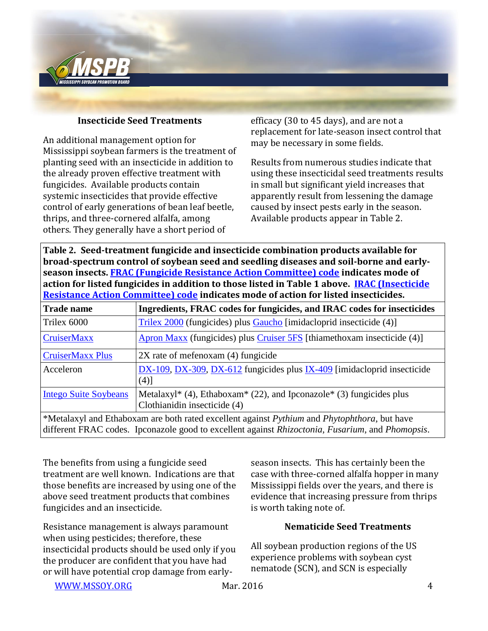

## **Insecticide Seed Treatments**

An additional management option for Mississippi soybean farmers is the treatment of planting seed with an insecticide in addition to the already proven effective treatment with fungicides. Available products contain systemic insecticides that provide effective control of early generations of bean leaf beetle, thrips, and three-cornered alfalfa, among others. They generally have a short period of

efficacy (30 to 45 days), and are not a replacement for late-season insect control that may be necessary in some fields.

Results from numerous studies indicate that using these insecticidal seed treatments results in small but significant yield increases that apparently result from lessening the damage caused by insect pests early in the season. Available products appear in Table 2.

**Table 2. Seed-treatment fungicide and insecticide combination products available for broad-spectrum control of soybean seed and seedling diseases and soil-borne and earlyseason insects. [FRAC \(Fungicide Resistance Action Committee\) code](http://www.frac.info/docs/default-source/publications/frac-code-list/frac-code-list-2016.pdf) indicates mode of action for listed fungicides in addition to those listed in Table 1 above. [IRAC \(Insecticide](http://www.irac-online.org/documents/moa-classification/)  [Resistance Action Committee\) code](http://www.irac-online.org/documents/moa-classification/) indicates mode of action for listed insecticides.**

| <b>Trade name</b>                                                                                            | Ingredients, FRAC codes for fungicides, and IRAC codes for insecticides                              |
|--------------------------------------------------------------------------------------------------------------|------------------------------------------------------------------------------------------------------|
| Trilex 6000                                                                                                  | Trilex 2000 (fungicides) plus Gaucho [imidacloprid insecticide (4)]                                  |
| <b>CruiserMaxx</b>                                                                                           | <b>Apron Maxx</b> (fungicides) plus Cruiser 5FS [thiamethoxam insecticide (4)]                       |
| <b>CruiserMaxx Plus</b>                                                                                      | 2X rate of mefenoxam (4) fungicide                                                                   |
| Acceleron                                                                                                    | $DX-109$ , $DX-309$ , $DX-612$ fungicides plus $IX-409$ [imidacloprid insecticide<br>(4)]            |
| <b>Intego Suite Soybeans</b>                                                                                 | Metalaxyl* (4), Ethaboxam* (22), and Ipconazole* (3) fungicides plus<br>Clothianidin insecticide (4) |
| $*$ Metalaxyl and Ethaboxam are both rated excellent against <i>Pythium</i> and <i>Phytophthora</i> but have |                                                                                                      |

d Ethaboxam are both rated excellent against *Pythium* and *Phytophthora*, but have different FRAC codes. Ipconazole good to excellent against *Rhizoctonia*, *Fusarium*, and *Phomopsis*.

The benefits from using a fungicide seed treatment are well known. Indications are that those benefits are increased by using one of the above seed treatment products that combines fungicides and an insecticide.

Resistance management is always paramount when using pesticides; therefore, these insecticidal products should be used only if you the producer are confident that you have had or will have potential crop damage from earlyseason insects. This has certainly been the case with three-corned alfalfa hopper in many Mississippi fields over the years, and there is evidence that increasing pressure from thrips is worth taking note of.

# **Nematicide Seed Treatments**

All soybean production regions of the US experience problems with soybean cyst nematode (SCN), and SCN is especially

[WWW.MSSOY.ORG](http://www.mssoy.org/) Mar. 2016 4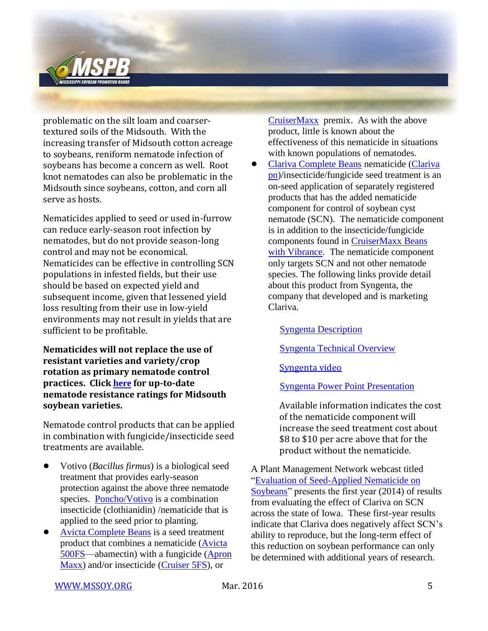

problematic on the silt loam and coarsertextured soils of the Midsouth. With the increasing transfer of Midsouth cotton acreage to soybeans, reniform nematode infection of soybeans has become a concern as well. Root knot nematodes can also be problematic in the Midsouth since soybeans, cotton, and corn all serve as hosts.

Nematicides applied to seed or used in-furrow can reduce early-season root infection by nematodes, but do not provide season-long control and may not be economical. Nematicides can be effective in controlling SCN populations in infested fields, but their use should be based on expected yield and subsequent income, given that lessened yield loss resulting from their use in low-yield environments may not result in yields that are sufficient to be profitable.

**Nematicides will not replace the use of resistant varieties and variety/crop rotation as primary nematode control practices. Click [here](http://arkansasvarietytesting.com/home/soybean/) for up-to-date nematode resistance ratings for Midsouth soybean varieties.**

Nematode control products that can be applied in combination with fungicide/insecticide seed treatments are available.

- ! Votivo (*Bacillus firmus*) is a biological seed treatment that provides early-season protection against the above three nematode species. [Poncho/Votivo](http://www.agrian.com/pdfs/PonchoVOTiVO_Label5b.pdf) is a combination insecticide (clothianidin) /nematicide that is applied to the seed prior to planting.
- ! Avicta [Complete Beans](http://www.syngentacropprotection.com/pdf/labels/ACBWebLabel.pdf) is a seed treatment product that combines a nematicide [\(Avicta](http://www.cdms.net/LDat/ld7A9006.pdf)  [500FS—](http://www.cdms.net/LDat/ld7A9006.pdf)abamectin) with a fungicide [\(Apron](http://www.cdms.net/LDat/ld3UL000.pdf)  [Maxx\)](http://www.cdms.net/LDat/ld3UL000.pdf) and/or insecticide [\(Cruiser 5FS\)](http://www.cdms.net/LDat/ld59U012.pdf), or

[CruiserMaxx](http://www.cdms.net/ldat/ld7JC005.pdf) premix. As with the above product, little is known about the effectiveness of this nematicide in situations with known populations of nematodes.

**.** [Clariva Complete Beans](http://pdf.tirmsdev.com/Web/121/700084/121_700084_LABEL_English_.pdf?download=true) nematicide (Clariva [pn\)](http://www.cdms.net/ldat/ldB92003.pdf)/insecticide/fungicide seed treatment is an on-seed application of separately registered products that has the added nematicide component for control of soybean cyst nematode (SCN). The nematicide component is in addition to the insecticide/fungicide components found in [CruiserMaxx Beans](http://www.syngentacropprotection.com/pdf/labels/CMBVLabel.pdf)  [with Vibrance.](http://www.syngentacropprotection.com/pdf/labels/CMBVLabel.pdf) The nematicide component only targets SCN and not other nematode species. The following links provide detail about this product from Syngenta, the company that developed and is marketing Clariva.

[Syngenta Description](http://www.syngentaebiz.com/productsystem/ImageHandler.ashx?ImID=52de4b7c-b234-464f-b654-4656439f2b87&fTy=0&t=0)

[Syngenta Technical Overview](http://www.syngentaebiz.com/productsystem/ImageHandler.ashx?ImID=76f635de-c7b3-4aba-b579-2e54079231f7&fTy=0&t=0)

[Syngenta video](http://farmassist.com/Blogs/video.aspx?playtype=1&flashurl=http://vidego-http.multicastmedia.com/mm/flvmedia/2968/n/w/t/nwt7l0c4_onwx5120_h264_464K.mp4?cid=2968&aid=2035619&afid=3746155)

[Syngenta Power Point Presentation](http://mssoy.org/wp-content/uploads/2013/11/CLARIVA-COMPLETE-BEANS-PP-PRES.pdf)

Available information indicates the cost of the nematicide component will increase the seed treatment cost about \$8 to \$10 per acre above that for the product without the nematicide.

A Plant Management Network webcast titled ["Evaluation of Seed-Applied Nematicide on](http://www.plantmanagementnetwork.org/edcenter/seminars/soybean/SeedAppliedNematicide/)  [Soybeans"](http://www.plantmanagementnetwork.org/edcenter/seminars/soybean/SeedAppliedNematicide/) presents the first year (2014) of results from evaluating the effect of Clariva on SCN across the state of Iowa. These first-year results indicate that Clariva does negatively affect SCN's ability to reproduce, but the long-term effect of this reduction on soybean performance can only be determined with additional years of research.

[WWW.MSSOY.ORG](http://www.mssoy.org/) Mar. 2016 Mar. 2016